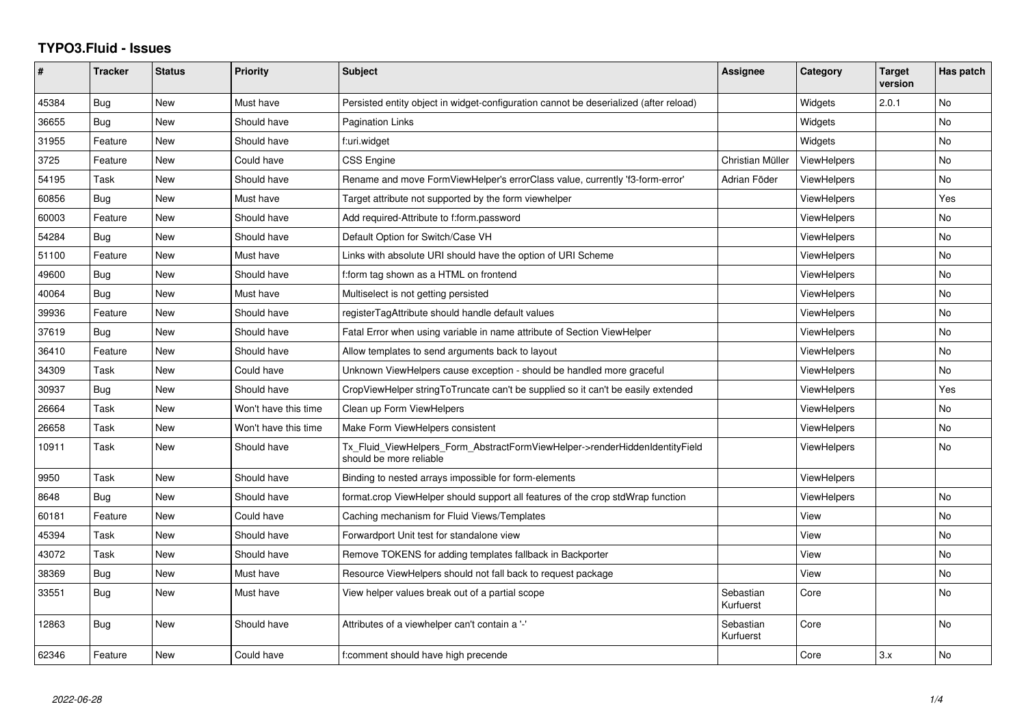## **TYPO3.Fluid - Issues**

| #     | <b>Tracker</b> | <b>Status</b> | <b>Priority</b>      | <b>Subject</b>                                                                                         | Assignee               | Category           | <b>Target</b><br>version | Has patch |
|-------|----------------|---------------|----------------------|--------------------------------------------------------------------------------------------------------|------------------------|--------------------|--------------------------|-----------|
| 45384 | Bug            | New           | Must have            | Persisted entity object in widget-configuration cannot be deserialized (after reload)                  |                        | Widgets            | 2.0.1                    | <b>No</b> |
| 36655 | Bug            | New           | Should have          | <b>Pagination Links</b>                                                                                |                        | Widgets            |                          | No.       |
| 31955 | Feature        | New           | Should have          | f:uri.widget                                                                                           |                        | Widgets            |                          | No        |
| 3725  | Feature        | New           | Could have           | CSS Engine                                                                                             | Christian Müller       | <b>ViewHelpers</b> |                          | <b>No</b> |
| 54195 | Task           | New           | Should have          | Rename and move FormViewHelper's errorClass value, currently 'f3-form-error'                           | Adrian Föder           | <b>ViewHelpers</b> |                          | No        |
| 60856 | Bug            | New           | Must have            | Target attribute not supported by the form viewhelper                                                  |                        | <b>ViewHelpers</b> |                          | Yes       |
| 60003 | Feature        | New           | Should have          | Add required-Attribute to f:form.password                                                              |                        | <b>ViewHelpers</b> |                          | No.       |
| 54284 | Bug            | <b>New</b>    | Should have          | Default Option for Switch/Case VH                                                                      |                        | <b>ViewHelpers</b> |                          | <b>No</b> |
| 51100 | Feature        | New           | Must have            | Links with absolute URI should have the option of URI Scheme                                           |                        | <b>ViewHelpers</b> |                          | <b>No</b> |
| 49600 | Bug            | New           | Should have          | f:form tag shown as a HTML on frontend                                                                 |                        | ViewHelpers        |                          | No        |
| 40064 | Bug            | New           | Must have            | Multiselect is not getting persisted                                                                   |                        | <b>ViewHelpers</b> |                          | <b>No</b> |
| 39936 | Feature        | New           | Should have          | registerTagAttribute should handle default values                                                      |                        | <b>ViewHelpers</b> |                          | <b>No</b> |
| 37619 | <b>Bug</b>     | New           | Should have          | Fatal Error when using variable in name attribute of Section ViewHelper                                |                        | <b>ViewHelpers</b> |                          | No        |
| 36410 | Feature        | <b>New</b>    | Should have          | Allow templates to send arguments back to layout                                                       |                        | <b>ViewHelpers</b> |                          | <b>No</b> |
| 34309 | Task           | New           | Could have           | Unknown ViewHelpers cause exception - should be handled more graceful                                  |                        | ViewHelpers        |                          | No        |
| 30937 | Bug            | New           | Should have          | CropViewHelper stringToTruncate can't be supplied so it can't be easily extended                       |                        | <b>ViewHelpers</b> |                          | Yes       |
| 26664 | Task           | New           | Won't have this time | Clean up Form ViewHelpers                                                                              |                        | ViewHelpers        |                          | No        |
| 26658 | Task           | New           | Won't have this time | Make Form ViewHelpers consistent                                                                       |                        | ViewHelpers        |                          | <b>No</b> |
| 10911 | Task           | New           | Should have          | Tx_Fluid_ViewHelpers_Form_AbstractFormViewHelper->renderHiddenIdentityField<br>should be more reliable |                        | <b>ViewHelpers</b> |                          | No        |
| 9950  | Task           | New           | Should have          | Binding to nested arrays impossible for form-elements                                                  |                        | <b>ViewHelpers</b> |                          |           |
| 8648  | Bug            | New           | Should have          | format.crop ViewHelper should support all features of the crop stdWrap function                        |                        | <b>ViewHelpers</b> |                          | <b>No</b> |
| 60181 | Feature        | New           | Could have           | Caching mechanism for Fluid Views/Templates                                                            |                        | View               |                          | <b>No</b> |
| 45394 | Task           | New           | Should have          | Forwardport Unit test for standalone view                                                              |                        | View               |                          | No        |
| 43072 | Task           | New           | Should have          | Remove TOKENS for adding templates fallback in Backporter                                              |                        | View               |                          | <b>No</b> |
| 38369 | Bug            | New           | Must have            | Resource ViewHelpers should not fall back to request package                                           |                        | View               |                          | No        |
| 33551 | Bug            | New           | Must have            | View helper values break out of a partial scope                                                        | Sebastian<br>Kurfuerst | Core               |                          | <b>No</b> |
| 12863 | Bug            | <b>New</b>    | Should have          | Attributes of a viewhelper can't contain a '-'                                                         | Sebastian<br>Kurfuerst | Core               |                          | <b>No</b> |
| 62346 | Feature        | New           | Could have           | f:comment should have high precende                                                                    |                        | Core               | 3.x                      | No        |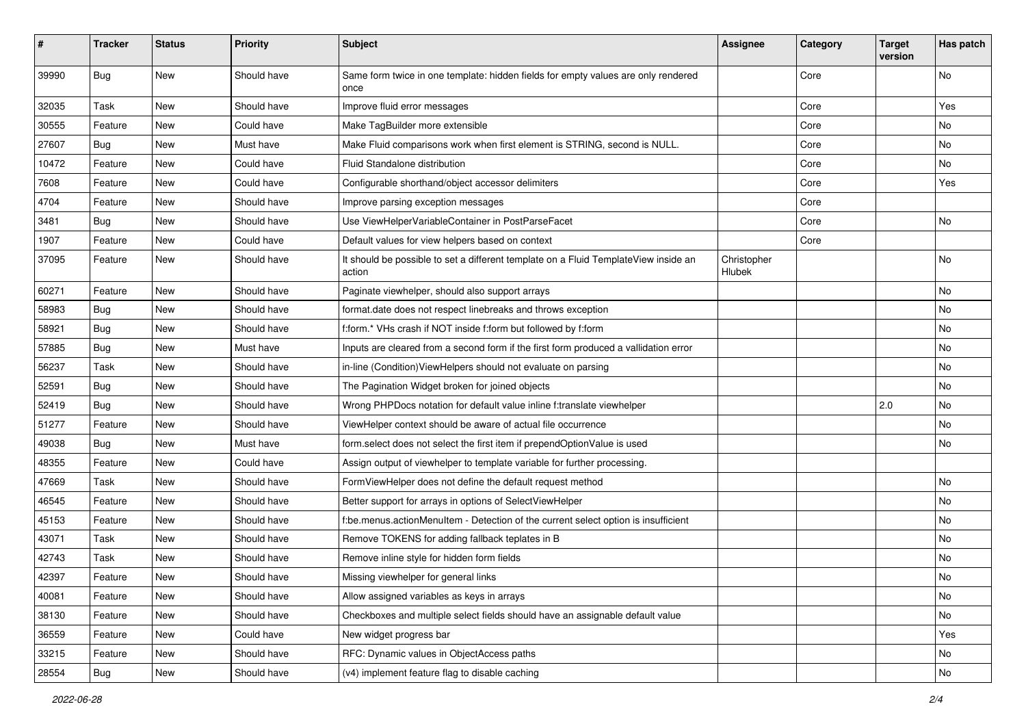| $\sharp$ | <b>Tracker</b> | <b>Status</b> | <b>Priority</b> | <b>Subject</b>                                                                                | <b>Assignee</b>              | Category | <b>Target</b><br>version | Has patch |
|----------|----------------|---------------|-----------------|-----------------------------------------------------------------------------------------------|------------------------------|----------|--------------------------|-----------|
| 39990    | Bug            | New           | Should have     | Same form twice in one template: hidden fields for empty values are only rendered<br>once     |                              | Core     |                          | No        |
| 32035    | Task           | New           | Should have     | Improve fluid error messages                                                                  |                              | Core     |                          | Yes       |
| 30555    | Feature        | New           | Could have      | Make TagBuilder more extensible                                                               |                              | Core     |                          | No        |
| 27607    | Bug            | New           | Must have       | Make Fluid comparisons work when first element is STRING, second is NULL.                     |                              | Core     |                          | No        |
| 10472    | Feature        | New           | Could have      | Fluid Standalone distribution                                                                 |                              | Core     |                          | No        |
| 7608     | Feature        | New           | Could have      | Configurable shorthand/object accessor delimiters                                             |                              | Core     |                          | Yes       |
| 4704     | Feature        | New           | Should have     | Improve parsing exception messages                                                            |                              | Core     |                          |           |
| 3481     | Bug            | New           | Should have     | Use ViewHelperVariableContainer in PostParseFacet                                             |                              | Core     |                          | No        |
| 1907     | Feature        | New           | Could have      | Default values for view helpers based on context                                              |                              | Core     |                          |           |
| 37095    | Feature        | New           | Should have     | It should be possible to set a different template on a Fluid TemplateView inside an<br>action | Christopher<br><b>Hlubek</b> |          |                          | No        |
| 60271    | Feature        | New           | Should have     | Paginate viewhelper, should also support arrays                                               |                              |          |                          | No        |
| 58983    | Bug            | New           | Should have     | format.date does not respect linebreaks and throws exception                                  |                              |          |                          | No        |
| 58921    | Bug            | New           | Should have     | f:form.* VHs crash if NOT inside f:form but followed by f:form                                |                              |          |                          | No        |
| 57885    | Bug            | New           | Must have       | Inputs are cleared from a second form if the first form produced a vallidation error          |                              |          |                          | No        |
| 56237    | Task           | New           | Should have     | in-line (Condition) ViewHelpers should not evaluate on parsing                                |                              |          |                          | No        |
| 52591    | Bug            | New           | Should have     | The Pagination Widget broken for joined objects                                               |                              |          |                          | No        |
| 52419    | Bug            | New           | Should have     | Wrong PHPDocs notation for default value inline f:translate viewhelper                        |                              |          | 2.0                      | No        |
| 51277    | Feature        | New           | Should have     | ViewHelper context should be aware of actual file occurrence                                  |                              |          |                          | No        |
| 49038    | Bug            | New           | Must have       | form.select does not select the first item if prependOptionValue is used                      |                              |          |                          | No        |
| 48355    | Feature        | New           | Could have      | Assign output of viewhelper to template variable for further processing.                      |                              |          |                          |           |
| 47669    | Task           | New           | Should have     | FormViewHelper does not define the default request method                                     |                              |          |                          | No        |
| 46545    | Feature        | New           | Should have     | Better support for arrays in options of SelectViewHelper                                      |                              |          |                          | No        |
| 45153    | Feature        | New           | Should have     | f:be.menus.actionMenuItem - Detection of the current select option is insufficient            |                              |          |                          | No        |
| 43071    | Task           | New           | Should have     | Remove TOKENS for adding fallback teplates in B                                               |                              |          |                          | No        |
| 42743    | Task           | New           | Should have     | Remove inline style for hidden form fields                                                    |                              |          |                          | No        |
| 42397    | Feature        | New           | Should have     | Missing viewhelper for general links                                                          |                              |          |                          | No        |
| 40081    | Feature        | New           | Should have     | Allow assigned variables as keys in arrays                                                    |                              |          |                          | No        |
| 38130    | Feature        | New           | Should have     | Checkboxes and multiple select fields should have an assignable default value                 |                              |          |                          | No        |
| 36559    | Feature        | New           | Could have      | New widget progress bar                                                                       |                              |          |                          | Yes       |
| 33215    | Feature        | New           | Should have     | RFC: Dynamic values in ObjectAccess paths                                                     |                              |          |                          | No        |
| 28554    | Bug            | New           | Should have     | (v4) implement feature flag to disable caching                                                |                              |          |                          | No        |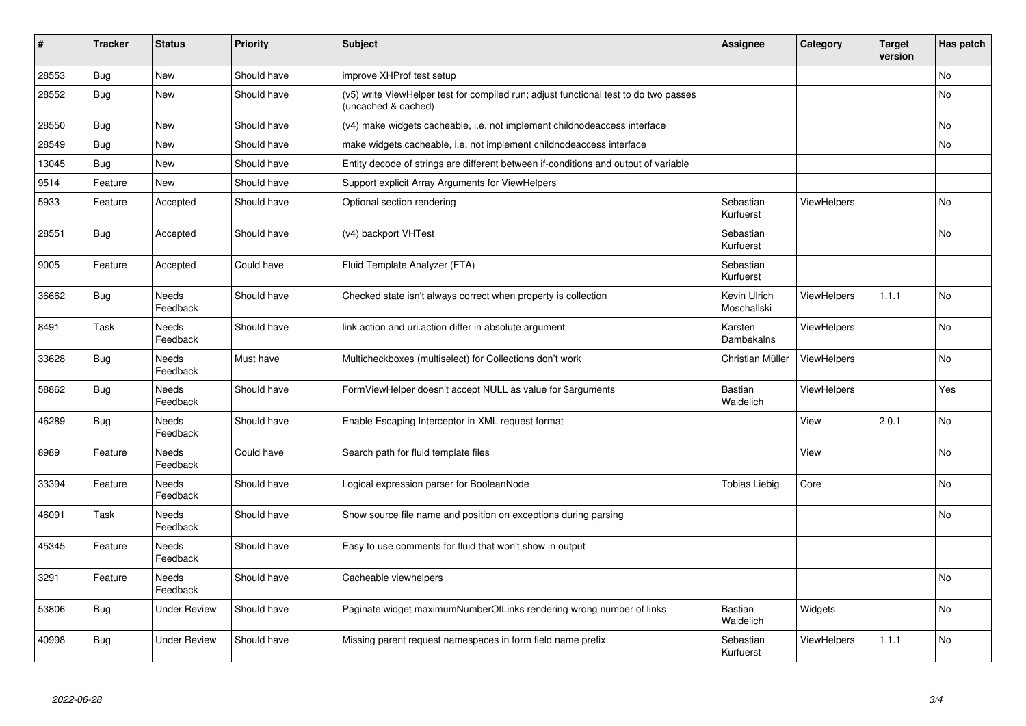| #     | <b>Tracker</b> | <b>Status</b>       | <b>Priority</b> | <b>Subject</b>                                                                                              | <b>Assignee</b>             | Category           | <b>Target</b><br>version | Has patch |
|-------|----------------|---------------------|-----------------|-------------------------------------------------------------------------------------------------------------|-----------------------------|--------------------|--------------------------|-----------|
| 28553 | <b>Bug</b>     | New                 | Should have     | improve XHProf test setup                                                                                   |                             |                    |                          | <b>No</b> |
| 28552 | <b>Bug</b>     | New                 | Should have     | (v5) write ViewHelper test for compiled run; adjust functional test to do two passes<br>(uncached & cached) |                             |                    |                          | No        |
| 28550 | <b>Bug</b>     | New                 | Should have     | (v4) make widgets cacheable, i.e. not implement childnodeaccess interface                                   |                             |                    |                          | <b>No</b> |
| 28549 | Bug            | New                 | Should have     | make widgets cacheable, i.e. not implement childnodeaccess interface                                        |                             |                    |                          | No        |
| 13045 | Bug            | New                 | Should have     | Entity decode of strings are different between if-conditions and output of variable                         |                             |                    |                          |           |
| 9514  | Feature        | New                 | Should have     | Support explicit Array Arguments for ViewHelpers                                                            |                             |                    |                          |           |
| 5933  | Feature        | Accepted            | Should have     | Optional section rendering                                                                                  | Sebastian<br>Kurfuerst      | ViewHelpers        |                          | <b>No</b> |
| 28551 | <b>Bug</b>     | Accepted            | Should have     | (v4) backport VHTest                                                                                        | Sebastian<br>Kurfuerst      |                    |                          | No        |
| 9005  | Feature        | Accepted            | Could have      | Fluid Template Analyzer (FTA)                                                                               | Sebastian<br>Kurfuerst      |                    |                          |           |
| 36662 | <b>Bug</b>     | Needs<br>Feedback   | Should have     | Checked state isn't always correct when property is collection                                              | Kevin Ulrich<br>Moschallski | <b>ViewHelpers</b> | 1.1.1                    | No        |
| 8491  | Task           | Needs<br>Feedback   | Should have     | link.action and uri.action differ in absolute argument                                                      | Karsten<br>Dambekalns       | <b>ViewHelpers</b> |                          | <b>No</b> |
| 33628 | <b>Bug</b>     | Needs<br>Feedback   | Must have       | Multicheckboxes (multiselect) for Collections don't work                                                    | Christian Müller            | ViewHelpers        |                          | No        |
| 58862 | <b>Bug</b>     | Needs<br>Feedback   | Should have     | FormViewHelper doesn't accept NULL as value for \$arguments                                                 | Bastian<br>Waidelich        | ViewHelpers        |                          | Yes       |
| 46289 | Bug            | Needs<br>Feedback   | Should have     | Enable Escaping Interceptor in XML request format                                                           |                             | View               | 2.0.1                    | <b>No</b> |
| 8989  | Feature        | Needs<br>Feedback   | Could have      | Search path for fluid template files                                                                        |                             | View               |                          | <b>No</b> |
| 33394 | Feature        | Needs<br>Feedback   | Should have     | Logical expression parser for BooleanNode                                                                   | <b>Tobias Liebig</b>        | Core               |                          | <b>No</b> |
| 46091 | Task           | Needs<br>Feedback   | Should have     | Show source file name and position on exceptions during parsing                                             |                             |                    |                          | No        |
| 45345 | Feature        | Needs<br>Feedback   | Should have     | Easy to use comments for fluid that won't show in output                                                    |                             |                    |                          |           |
| 3291  | Feature        | Needs<br>Feedback   | Should have     | Cacheable viewhelpers                                                                                       |                             |                    |                          | No        |
| 53806 | <b>Bug</b>     | <b>Under Review</b> | Should have     | Paginate widget maximumNumberOfLinks rendering wrong number of links                                        | Bastian<br>Waidelich        | Widgets            |                          | <b>No</b> |
| 40998 | Bug            | Under Review        | Should have     | Missing parent request namespaces in form field name prefix                                                 | Sebastian<br>Kurfuerst      | <b>ViewHelpers</b> | 1.1.1                    | No        |